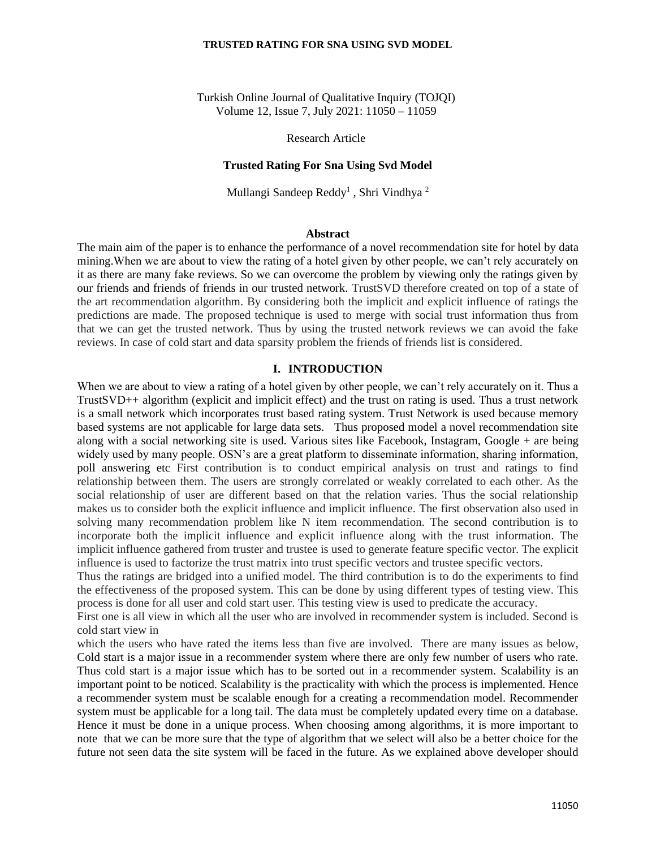### **TRUSTED RATING FOR SNA USING SVD MODEL**

Turkish Online Journal of Qualitative Inquiry (TOJQI) Volume 12, Issue 7, July 2021: 11050 – 11059

Research Article

# **Trusted Rating For Sna Using Svd Model**

Mullangi Sandeep Reddy<sup>1</sup>, Shri Vindhya<sup>2</sup>

## **Abstract**

The main aim of the paper is to enhance the performance of a novel recommendation site for hotel by data mining.When we are about to view the rating of a hotel given by other people, we can't rely accurately on it as there are many fake reviews. So we can overcome the problem by viewing only the ratings given by our friends and friends of friends in our trusted network. TrustSVD therefore created on top of a state of the art recommendation algorithm. By considering both the implicit and explicit influence of ratings the predictions are made. The proposed technique is used to merge with social trust information thus from that we can get the trusted network. Thus by using the trusted network reviews we can avoid the fake reviews. In case of cold start and data sparsity problem the friends of friends list is considered.

### **I. INTRODUCTION**

When we are about to view a rating of a hotel given by other people, we can't rely accurately on it. Thus a TrustSVD++ algorithm (explicit and implicit effect) and the trust on rating is used. Thus a trust network is a small network which incorporates trust based rating system. Trust Network is used because memory based systems are not applicable for large data sets. Thus proposed model a novel recommendation site along with a social networking site is used. Various sites like Facebook, Instagram, Google + are being widely used by many people. OSN's are a great platform to disseminate information, sharing information, poll answering etc First contribution is to conduct empirical analysis on trust and ratings to find relationship between them. The users are strongly correlated or weakly correlated to each other. As the social relationship of user are different based on that the relation varies. Thus the social relationship makes us to consider both the explicit influence and implicit influence. The first observation also used in solving many recommendation problem like N item recommendation. The second contribution is to incorporate both the implicit influence and explicit influence along with the trust information. The implicit influence gathered from truster and trustee is used to generate feature specific vector. The explicit influence is used to factorize the trust matrix into trust specific vectors and trustee specific vectors.

Thus the ratings are bridged into a unified model. The third contribution is to do the experiments to find the effectiveness of the proposed system. This can be done by using different types of testing view. This process is done for all user and cold start user. This testing view is used to predicate the accuracy.

First one is all view in which all the user who are involved in recommender system is included. Second is cold start view in

which the users who have rated the items less than five are involved. There are many issues as below, Cold start is a major issue in a recommender system where there are only few number of users who rate. Thus cold start is a major issue which has to be sorted out in a recommender system. Scalability is an important point to be noticed. Scalability is the practicality with which the process is implemented. Hence a recommender system must be scalable enough for a creating a recommendation model. Recommender system must be applicable for a long tail. The data must be completely updated every time on a database. Hence it must be done in a unique process. When choosing among algorithms, it is more important to note that we can be more sure that the type of algorithm that we select will also be a better choice for the future not seen data the site system will be faced in the future. As we explained above developer should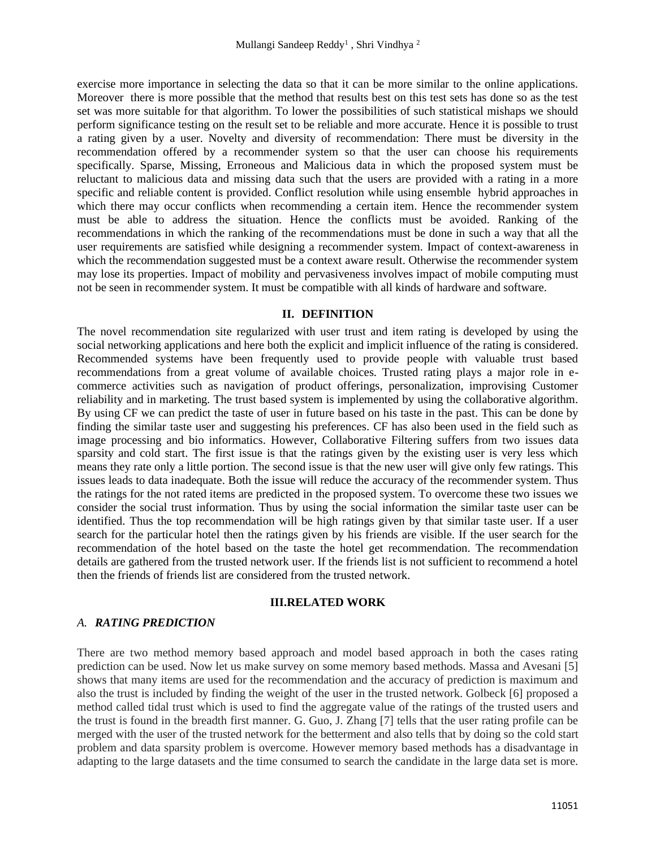exercise more importance in selecting the data so that it can be more similar to the online applications. Moreover there is more possible that the method that results best on this test sets has done so as the test set was more suitable for that algorithm. To lower the possibilities of such statistical mishaps we should perform significance testing on the result set to be reliable and more accurate. Hence it is possible to trust a rating given by a user. Novelty and diversity of recommendation: There must be diversity in the recommendation offered by a recommender system so that the user can choose his requirements specifically. Sparse, Missing, Erroneous and Malicious data in which the proposed system must be reluctant to malicious data and missing data such that the users are provided with a rating in a more specific and reliable content is provided. Conflict resolution while using ensemble hybrid approaches in which there may occur conflicts when recommending a certain item. Hence the recommender system must be able to address the situation. Hence the conflicts must be avoided. Ranking of the recommendations in which the ranking of the recommendations must be done in such a way that all the user requirements are satisfied while designing a recommender system. Impact of context-awareness in which the recommendation suggested must be a context aware result. Otherwise the recommender system may lose its properties. Impact of mobility and pervasiveness involves impact of mobile computing must not be seen in recommender system. It must be compatible with all kinds of hardware and software.

## **II. DEFINITION**

The novel recommendation site regularized with user trust and item rating is developed by using the social networking applications and here both the explicit and implicit influence of the rating is considered. Recommended systems have been frequently used to provide people with valuable trust based recommendations from a great volume of available choices. Trusted rating plays a major role in ecommerce activities such as navigation of product offerings, personalization, improvising Customer reliability and in marketing. The trust based system is implemented by using the collaborative algorithm. By using CF we can predict the taste of user in future based on his taste in the past. This can be done by finding the similar taste user and suggesting his preferences. CF has also been used in the field such as image processing and bio informatics. However, Collaborative Filtering suffers from two issues data sparsity and cold start. The first issue is that the ratings given by the existing user is very less which means they rate only a little portion. The second issue is that the new user will give only few ratings. This issues leads to data inadequate. Both the issue will reduce the accuracy of the recommender system. Thus the ratings for the not rated items are predicted in the proposed system. To overcome these two issues we consider the social trust information. Thus by using the social information the similar taste user can be identified. Thus the top recommendation will be high ratings given by that similar taste user. If a user search for the particular hotel then the ratings given by his friends are visible. If the user search for the recommendation of the hotel based on the taste the hotel get recommendation. The recommendation details are gathered from the trusted network user. If the friends list is not sufficient to recommend a hotel then the friends of friends list are considered from the trusted network.

## **III.RELATED WORK**

# *A. RATING PREDICTION*

There are two method memory based approach and model based approach in both the cases rating prediction can be used. Now let us make survey on some memory based methods. Massa and Avesani [5] shows that many items are used for the recommendation and the accuracy of prediction is maximum and also the trust is included by finding the weight of the user in the trusted network. Golbeck [6] proposed a method called tidal trust which is used to find the aggregate value of the ratings of the trusted users and the trust is found in the breadth first manner. G. Guo, J. Zhang [7] tells that the user rating profile can be merged with the user of the trusted network for the betterment and also tells that by doing so the cold start problem and data sparsity problem is overcome. However memory based methods has a disadvantage in adapting to the large datasets and the time consumed to search the candidate in the large data set is more.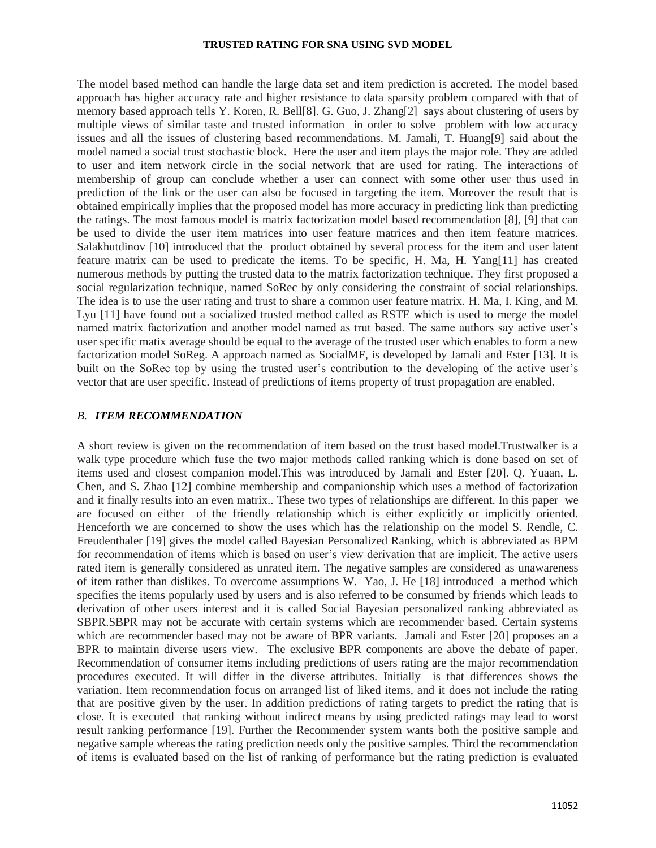### **TRUSTED RATING FOR SNA USING SVD MODEL**

The model based method can handle the large data set and item prediction is accreted. The model based approach has higher accuracy rate and higher resistance to data sparsity problem compared with that of memory based approach tells Y. Koren, R. Bell[8]. G. Guo, J. Zhang[2] says about clustering of users by multiple views of similar taste and trusted information in order to solve problem with low accuracy issues and all the issues of clustering based recommendations. M. Jamali, T. Huang[9] said about the model named a social trust stochastic block. Here the user and item plays the major role. They are added to user and item network circle in the social network that are used for rating. The interactions of membership of group can conclude whether a user can connect with some other user thus used in prediction of the link or the user can also be focused in targeting the item. Moreover the result that is obtained empirically implies that the proposed model has more accuracy in predicting link than predicting the ratings. The most famous model is matrix factorization model based recommendation [8], [9] that can be used to divide the user item matrices into user feature matrices and then item feature matrices. Salakhutdinov [10] introduced that the product obtained by several process for the item and user latent feature matrix can be used to predicate the items. To be specific, H. Ma, H. Yang[11] has created numerous methods by putting the trusted data to the matrix factorization technique. They first proposed a social regularization technique, named SoRec by only considering the constraint of social relationships. The idea is to use the user rating and trust to share a common user feature matrix. H. Ma, I. King, and M. Lyu [11] have found out a socialized trusted method called as RSTE which is used to merge the model named matrix factorization and another model named as trut based. The same authors say active user's user specific matix average should be equal to the average of the trusted user which enables to form a new factorization model SoReg. A approach named as SocialMF, is developed by Jamali and Ester [13]. It is built on the SoRec top by using the trusted user's contribution to the developing of the active user's vector that are user specific. Instead of predictions of items property of trust propagation are enabled.

## *B. ITEM RECOMMENDATION*

A short review is given on the recommendation of item based on the trust based model.Trustwalker is a walk type procedure which fuse the two major methods called ranking which is done based on set of items used and closest companion model.This was introduced by Jamali and Ester [20]. Q. Yuaan, L. Chen, and S. Zhao [12] combine membership and companionship which uses a method of factorization and it finally results into an even matrix.. These two types of relationships are different. In this paper we are focused on either of the friendly relationship which is either explicitly or implicitly oriented. Henceforth we are concerned to show the uses which has the relationship on the model S. Rendle, C. Freudenthaler [19] gives the model called Bayesian Personalized Ranking, which is abbreviated as BPM for recommendation of items which is based on user's view derivation that are implicit. The active users rated item is generally considered as unrated item. The negative samples are considered as unawareness of item rather than dislikes. To overcome assumptions W. Yao, J. He [18] introduced a method which specifies the items popularly used by users and is also referred to be consumed by friends which leads to derivation of other users interest and it is called Social Bayesian personalized ranking abbreviated as SBPR.SBPR may not be accurate with certain systems which are recommender based. Certain systems which are recommender based may not be aware of BPR variants. Jamali and Ester [20] proposes an a BPR to maintain diverse users view. The exclusive BPR components are above the debate of paper. Recommendation of consumer items including predictions of users rating are the major recommendation procedures executed. It will differ in the diverse attributes. Initially is that differences shows the variation. Item recommendation focus on arranged list of liked items, and it does not include the rating that are positive given by the user. In addition predictions of rating targets to predict the rating that is close. It is executed that ranking without indirect means by using predicted ratings may lead to worst result ranking performance [19]. Further the Recommender system wants both the positive sample and negative sample whereas the rating prediction needs only the positive samples. Third the recommendation of items is evaluated based on the list of ranking of performance but the rating prediction is evaluated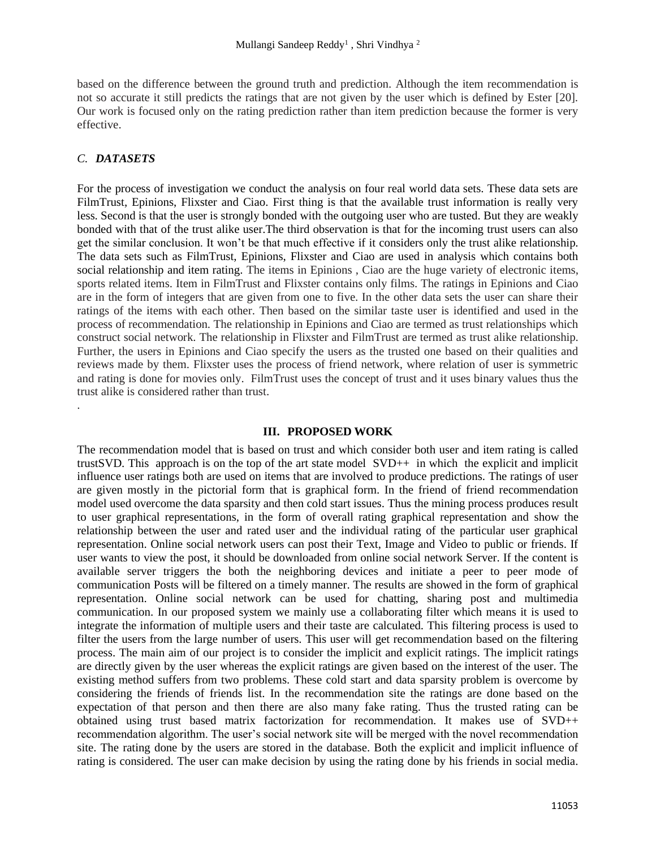based on the difference between the ground truth and prediction. Although the item recommendation is not so accurate it still predicts the ratings that are not given by the user which is defined by Ester [20]. Our work is focused only on the rating prediction rather than item prediction because the former is very effective.

# *C. DATASETS*

.

For the process of investigation we conduct the analysis on four real world data sets. These data sets are FilmTrust, Epinions, Flixster and Ciao. First thing is that the available trust information is really very less. Second is that the user is strongly bonded with the outgoing user who are tusted. But they are weakly bonded with that of the trust alike user.The third observation is that for the incoming trust users can also get the similar conclusion. It won't be that much effective if it considers only the trust alike relationship. The data sets such as FilmTrust, Epinions, Flixster and Ciao are used in analysis which contains both social relationship and item rating. The items in Epinions , Ciao are the huge variety of electronic items, sports related items. Item in FilmTrust and Flixster contains only films. The ratings in Epinions and Ciao are in the form of integers that are given from one to five. In the other data sets the user can share their ratings of the items with each other. Then based on the similar taste user is identified and used in the process of recommendation. The relationship in Epinions and Ciao are termed as trust relationships which construct social network. The relationship in Flixster and FilmTrust are termed as trust alike relationship. Further, the users in Epinions and Ciao specify the users as the trusted one based on their qualities and reviews made by them. Flixster uses the process of friend network, where relation of user is symmetric and rating is done for movies only. FilmTrust uses the concept of trust and it uses binary values thus the trust alike is considered rather than trust.

## **III. PROPOSED WORK**

The recommendation model that is based on trust and which consider both user and item rating is called trustSVD. This approach is on the top of the art state model SVD++ in which the explicit and implicit influence user ratings both are used on items that are involved to produce predictions. The ratings of user are given mostly in the pictorial form that is graphical form. In the friend of friend recommendation model used overcome the data sparsity and then cold start issues. Thus the mining process produces result to user graphical representations, in the form of overall rating graphical representation and show the relationship between the user and rated user and the individual rating of the particular user graphical representation. Online social network users can post their Text, Image and Video to public or friends. If user wants to view the post, it should be downloaded from online social network Server. If the content is available server triggers the both the neighboring devices and initiate a peer to peer mode of communication Posts will be filtered on a timely manner. The results are showed in the form of graphical representation. Online social network can be used for chatting, sharing post and multimedia communication. In our proposed system we mainly use a collaborating filter which means it is used to integrate the information of multiple users and their taste are calculated. This filtering process is used to filter the users from the large number of users. This user will get recommendation based on the filtering process. The main aim of our project is to consider the implicit and explicit ratings. The implicit ratings are directly given by the user whereas the explicit ratings are given based on the interest of the user. The existing method suffers from two problems. These cold start and data sparsity problem is overcome by considering the friends of friends list. In the recommendation site the ratings are done based on the expectation of that person and then there are also many fake rating. Thus the trusted rating can be obtained using trust based matrix factorization for recommendation. It makes use of SVD++ recommendation algorithm. The user's social network site will be merged with the novel recommendation site. The rating done by the users are stored in the database. Both the explicit and implicit influence of rating is considered. The user can make decision by using the rating done by his friends in social media.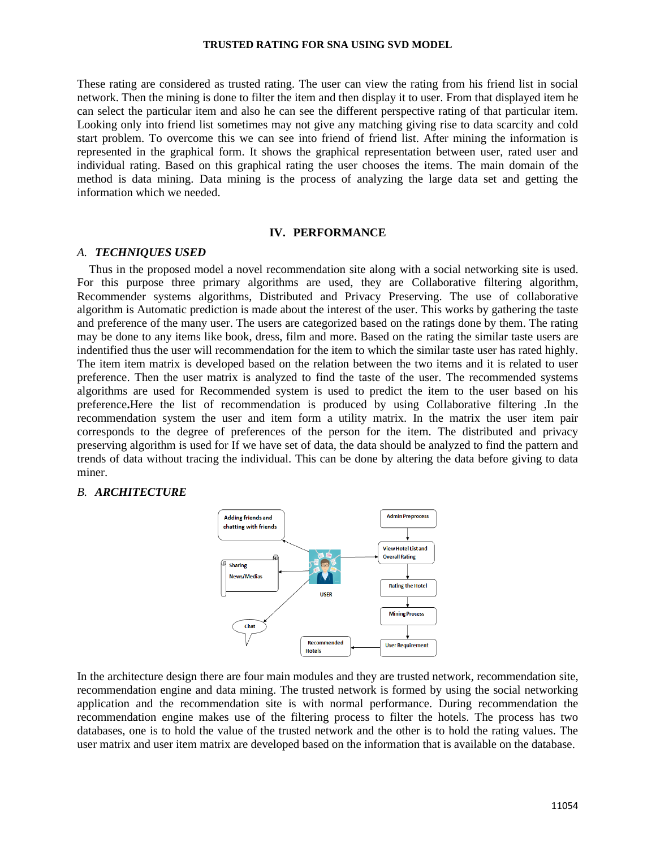#### **TRUSTED RATING FOR SNA USING SVD MODEL**

These rating are considered as trusted rating. The user can view the rating from his friend list in social network. Then the mining is done to filter the item and then display it to user. From that displayed item he can select the particular item and also he can see the different perspective rating of that particular item. Looking only into friend list sometimes may not give any matching giving rise to data scarcity and cold start problem. To overcome this we can see into friend of friend list. After mining the information is represented in the graphical form. It shows the graphical representation between user, rated user and individual rating. Based on this graphical rating the user chooses the items. The main domain of the method is data mining. Data mining is the process of analyzing the large data set and getting the information which we needed.

### **IV. PERFORMANCE**

### *A. TECHNIQUES USED*

 Thus in the proposed model a novel recommendation site along with a social networking site is used. For this purpose three primary algorithms are used, they are Collaborative filtering algorithm, Recommender systems algorithms, Distributed and Privacy Preserving. The use of collaborative algorithm is Automatic prediction is made about the interest of the user. This works by gathering the taste and preference of the many user. The users are categorized based on the ratings done by them. The rating may be done to any items like book, dress, film and more. Based on the rating the similar taste users are indentified thus the user will recommendation for the item to which the similar taste user has rated highly. The item item matrix is developed based on the relation between the two items and it is related to user preference. Then the user matrix is analyzed to find the taste of the user. The recommended systems algorithms are used for Recommended system is used to predict the item to the user based on his preference**.**Here the list of recommendation is produced by using Collaborative filtering .In the recommendation system the user and item form a utility matrix. In the matrix the user item pair corresponds to the degree of preferences of the person for the item. The distributed and privacy preserving algorithm is used for If we have set of data, the data should be analyzed to find the pattern and trends of data without tracing the individual. This can be done by altering the data before giving to data miner.

# *B. ARCHITECTURE*



In the architecture design there are four main modules and they are trusted network, recommendation site, recommendation engine and data mining. The trusted network is formed by using the social networking application and the recommendation site is with normal performance. During recommendation the recommendation engine makes use of the filtering process to filter the hotels. The process has two databases, one is to hold the value of the trusted network and the other is to hold the rating values. The user matrix and user item matrix are developed based on the information that is available on the database.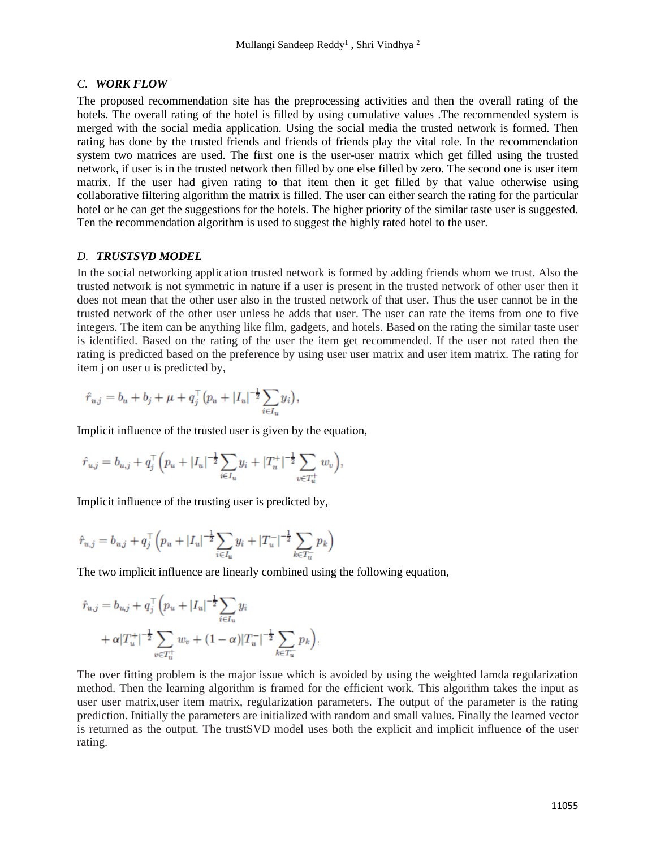# *C. WORK FLOW*

The proposed recommendation site has the preprocessing activities and then the overall rating of the hotels. The overall rating of the hotel is filled by using cumulative values .The recommended system is merged with the social media application. Using the social media the trusted network is formed. Then rating has done by the trusted friends and friends of friends play the vital role. In the recommendation system two matrices are used. The first one is the user-user matrix which get filled using the trusted network, if user is in the trusted network then filled by one else filled by zero. The second one is user item matrix. If the user had given rating to that item then it get filled by that value otherwise using collaborative filtering algorithm the matrix is filled. The user can either search the rating for the particular hotel or he can get the suggestions for the hotels. The higher priority of the similar taste user is suggested. Ten the recommendation algorithm is used to suggest the highly rated hotel to the user.

# *D. TRUSTSVD MODEL*

In the social networking application trusted network is formed by adding friends whom we trust. Also the trusted network is not symmetric in nature if a user is present in the trusted network of other user then it does not mean that the other user also in the trusted network of that user. Thus the user cannot be in the trusted network of the other user unless he adds that user. The user can rate the items from one to five integers. The item can be anything like film, gadgets, and hotels. Based on the rating the similar taste user is identified. Based on the rating of the user the item get recommended. If the user not rated then the rating is predicted based on the preference by using user user matrix and user item matrix. The rating for item j on user u is predicted by,

$$
\hat{r}_{u,j} = b_u + b_j + \mu + q_j^{\top} (p_u + |I_u|^{-\frac{1}{2}} \sum_{i \in I_u} y_i),
$$

Implicit influence of the trusted user is given by the equation,

$$
\hat{r}_{u,j} = b_{u,j} + q_j^{\top} \Big( p_u + |I_u|^{-\frac{1}{2}} \sum_{i \in I_u} y_i + |T_u^+|^{-\frac{1}{2}} \sum_{v \in T_u^+} w_v \Big),\,
$$

Implicit influence of the trusting user is predicted by,

$$
\hat{r}_{u,j} = b_{u,j} + q_j^\top \Big(p_u + |I_u|^{-\frac{1}{2}} \sum_{i \in I_u} y_i + |T_u^-|^{-\frac{1}{2}} \sum_{k \in T_u^-} p_k \Big)
$$

The two implicit influence are linearly combined using the following equation,

$$
\hat{r}_{u,j} = b_{u,j} + q_j^{\top} \left( p_u + |I_u|^{-\frac{1}{2}} \sum_{i \in I_u} y_i + \alpha |T_u^+|^{-\frac{1}{2}} \sum_{v \in T_u^+} w_v + (1 - \alpha) |T_u^-|^{-\frac{1}{2}} \sum_{k \in T_u^-} p_k \right).
$$

The over fitting problem is the major issue which is avoided by using the weighted lamda regularization method. Then the learning algorithm is framed for the efficient work. This algorithm takes the input as user user matrix,user item matrix, regularization parameters. The output of the parameter is the rating prediction. Initially the parameters are initialized with random and small values. Finally the learned vector is returned as the output. The trustSVD model uses both the explicit and implicit influence of the user rating.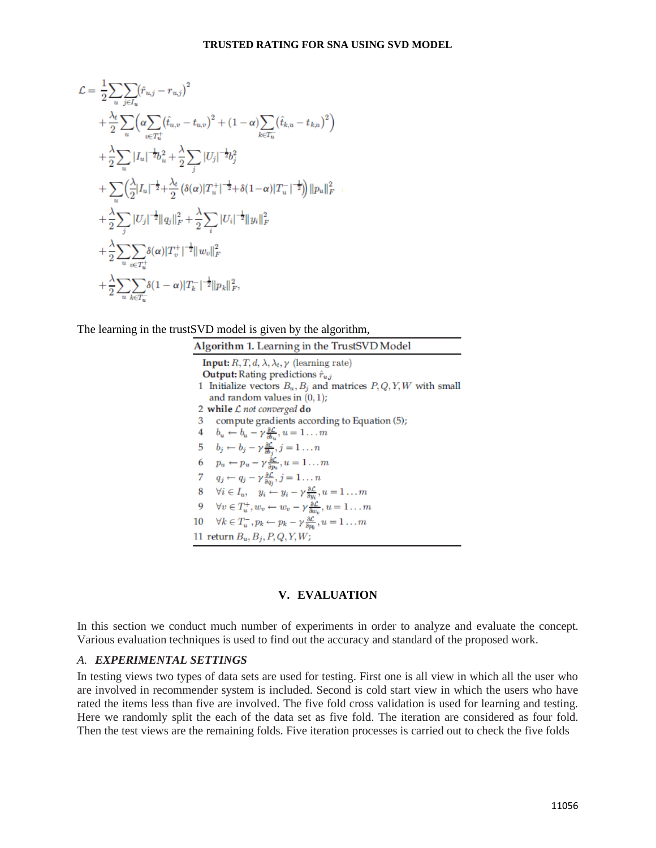$$
\mathcal{L} = \frac{1}{2} \sum_{u} \sum_{j \in I_u} (\hat{r}_{u,j} - r_{u,j})^2 \n+ \frac{\lambda_t}{2} \sum_{u} \left( \alpha \sum_{v \in T_u^+} (\hat{t}_{u,v} - t_{u,v})^2 + (1 - \alpha) \sum_{k \in T_u^-} (\hat{t}_{k,u} - t_{k,u})^2 \right) \n+ \frac{\lambda}{2} \sum_{u} |I_u|^{-\frac{1}{2}} b_u^2 + \frac{\lambda}{2} \sum_{j} |U_j|^{-\frac{1}{2}} b_j^2 \n+ \sum_{u} \left( \frac{\lambda}{2} |I_u|^{-\frac{1}{2}} + \frac{\lambda_t}{2} \left( \delta(\alpha) |T_u^+|^{-\frac{1}{2}} + \delta(1 - \alpha) |T_u^-|^{-\frac{1}{2}} \right) \right) ||p_u||_F^2 \n+ \frac{\lambda}{2} \sum_{j} |U_j|^{-\frac{1}{2}} ||q_j||_F^2 + \frac{\lambda}{2} \sum_{i} |U_i|^{-\frac{1}{2}} ||y_i||_F^2 \n+ \frac{\lambda}{2} \sum_{u} \sum_{v \in T_u^+} \delta(\alpha) |T_v^+|^{-\frac{1}{2}} ||w_v||_F^2 \n+ \frac{\lambda}{2} \sum_{u} \sum_{k \in T_u^-} \delta(1 - \alpha) |T_k^-|^{-\frac{1}{2}} ||p_k||_F^2,
$$

The learning in the trustSVD model is given by the algorithm,

| Algorithm 1. Learning in the TrustSVD Model                                                                           |
|-----------------------------------------------------------------------------------------------------------------------|
| <b>Input:</b> $R, T, d, \lambda, \lambda_t, \gamma$ (learning rate)                                                   |
| <b>Output:</b> Rating predictions $\hat{r}_{u,i}$                                                                     |
| 1 Initialize vectors $B_u$ , $B_j$ and matrices $P$ , $Q$ , $Y$ , $W$ with small                                      |
| and random values in $(0,1)$ ;                                                                                        |
| 2 while $\mathcal L$ not converged do                                                                                 |
| compute gradients according to Equation (5);<br>з                                                                     |
| $b_u \leftarrow b_u - \gamma \frac{\partial \mathcal{L}}{\partial b}, u = 1 \dots m$<br>4                             |
| $b_j \leftarrow b_j - \gamma \frac{\partial \mathcal{L}}{\partial b_j}, j = 1 \dots n$<br>5                           |
| $p_u \leftarrow p_u - \gamma \frac{\partial \mathcal{L}}{\partial n_u}, u = 1 \dots m$<br>6                           |
| $q_j \leftarrow q_j - \gamma \frac{\partial \mathcal{L}}{\partial q_i}, j = 1 \dots n$<br>7                           |
| $\forall i \in I_u, \quad y_i \leftarrow y_i - \gamma \frac{\partial \mathcal{L}}{\partial w}, u = 1 \dots m$<br>8    |
| $\forall v \in T_u^+, w_v \leftarrow w_v - \gamma \frac{\partial \mathcal{L}}{\partial w_v}, u = 1 \dots m$<br>9      |
| $\forall k \in T_u^-$ , $p_k \leftarrow p_k - \gamma \frac{\partial \mathcal{L}}{\partial m}$ , $u = 1 \dots m$<br>10 |
| 11 return $B_u, B_j, P, Q, Y, W$ ;                                                                                    |

## **V. EVALUATION**

In this section we conduct much number of experiments in order to analyze and evaluate the concept. Various evaluation techniques is used to find out the accuracy and standard of the proposed work.

# *A. EXPERIMENTAL SETTINGS*

In testing views two types of data sets are used for testing. First one is all view in which all the user who are involved in recommender system is included. Second is cold start view in which the users who have rated the items less than five are involved. The five fold cross validation is used for learning and testing. Here we randomly split the each of the data set as five fold. The iteration are considered as four fold. Then the test views are the remaining folds. Five iteration processes is carried out to check the five folds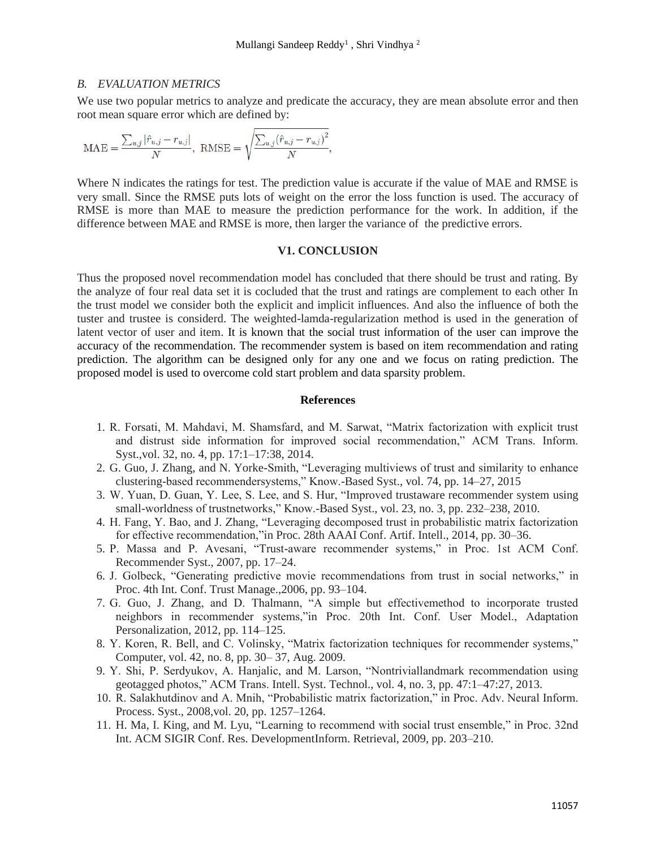### *B. EVALUATION METRICS*

We use two popular metrics to analyze and predicate the accuracy, they are mean absolute error and then root mean square error which are defined by:

$$
\text{MAE} = \frac{\sum_{u,j} |\hat{r}_{u,j} - r_{u,j}|}{N}, \text{ RMSE} = \sqrt{\frac{\sum_{u,j} (\hat{r}_{u,j} - r_{u,j})^2}{N}},
$$

Where N indicates the ratings for test. The prediction value is accurate if the value of MAE and RMSE is very small. Since the RMSE puts lots of weight on the error the loss function is used. The accuracy of RMSE is more than MAE to measure the prediction performance for the work. In addition, if the difference between MAE and RMSE is more, then larger the variance of the predictive errors.

## **V1. CONCLUSION**

Thus the proposed novel recommendation model has concluded that there should be trust and rating. By the analyze of four real data set it is cocluded that the trust and ratings are complement to each other In the trust model we consider both the explicit and implicit influences. And also the influence of both the tuster and trustee is considerd. The weighted-lamda-regularization method is used in the generation of latent vector of user and item. It is known that the social trust information of the user can improve the accuracy of the recommendation. The recommender system is based on item recommendation and rating prediction. The algorithm can be designed only for any one and we focus on rating prediction. The proposed model is used to overcome cold start problem and data sparsity problem.

## **References**

- 1. R. Forsati, M. Mahdavi, M. Shamsfard, and M. Sarwat, "Matrix factorization with explicit trust and distrust side information for improved social recommendation," ACM Trans. Inform. Syst.,vol. 32, no. 4, pp. 17:1–17:38, 2014.
- 2. G. Guo, J. Zhang, and N. Yorke-Smith, "Leveraging multiviews of trust and similarity to enhance clustering-based recommendersystems," Know.-Based Syst., vol. 74, pp. 14–27, 2015
- 3. W. Yuan, D. Guan, Y. Lee, S. Lee, and S. Hur, "Improved trustaware recommender system using small-worldness of trustnetworks," Know.-Based Syst., vol. 23, no. 3, pp. 232–238, 2010.
- 4. H. Fang, Y. Bao, and J. Zhang, "Leveraging decomposed trust in probabilistic matrix factorization for effective recommendation,"in Proc. 28th AAAI Conf. Artif. Intell., 2014, pp. 30–36.
- 5. P. Massa and P. Avesani, "Trust-aware recommender systems," in Proc. 1st ACM Conf. Recommender Syst., 2007, pp. 17–24.
- 6. J. Golbeck, "Generating predictive movie recommendations from trust in social networks," in Proc. 4th Int. Conf. Trust Manage.,2006, pp. 93–104.
- 7. G. Guo, J. Zhang, and D. Thalmann, "A simple but effectivemethod to incorporate trusted neighbors in recommender systems,"in Proc. 20th Int. Conf. User Model., Adaptation Personalization, 2012, pp. 114–125.
- 8. Y. Koren, R. Bell, and C. Volinsky, "Matrix factorization techniques for recommender systems," Computer, vol. 42, no. 8, pp. 30– 37, Aug. 2009.
- 9. Y. Shi, P. Serdyukov, A. Hanjalic, and M. Larson, "Nontriviallandmark recommendation using geotagged photos," ACM Trans. Intell. Syst. Technol., vol. 4, no. 3, pp. 47:1–47:27, 2013.
- 10. R. Salakhutdinov and A. Mnih, "Probabilistic matrix factorization," in Proc. Adv. Neural Inform. Process. Syst., 2008,vol. 20, pp. 1257–1264.
- 11. H. Ma, I. King, and M. Lyu, "Learning to recommend with social trust ensemble," in Proc. 32nd Int. ACM SIGIR Conf. Res. DevelopmentInform. Retrieval, 2009, pp. 203–210.